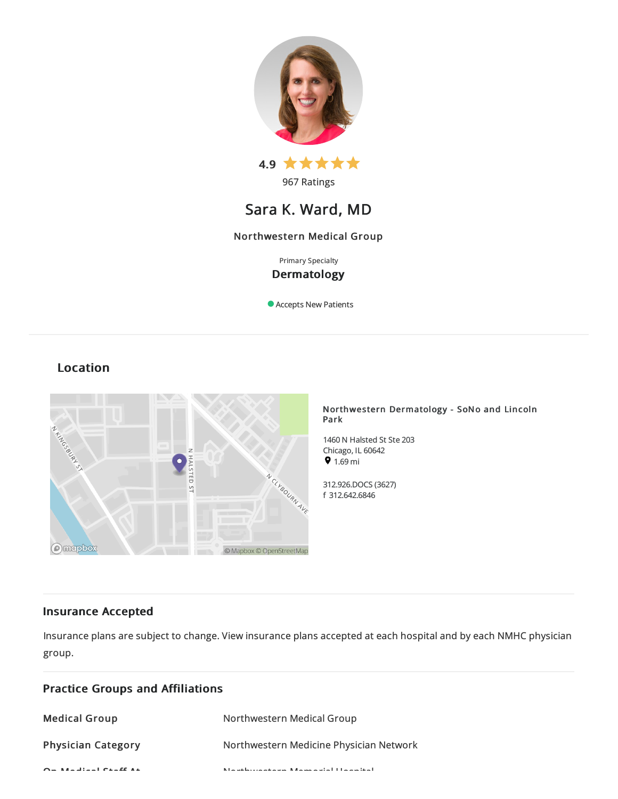

# Sara K. Ward, MD

# Northwestern Medical Group

# Primary Specialty Dermatology

Accepts New Patients

# Location



### Northwestern Dermatology - SoNo and Lincoln Park

1460 N Halsted St Ste 203 Chicago, IL 60642  $91.69 \text{ mi}$ 

312.926.DOCS(3627) f 312.642.6846

# Insurance Accepted

Insurance plans are subject to change. View [insurance](https://www.nm.org/patients-and-visitors/billing-and-insurance/insurance-information/accepted-insurance-plans) plans accepted at each hospital and by each NMHC physician group.

| <b>Practice Groups and Affiliations</b>           |                                                           |
|---------------------------------------------------|-----------------------------------------------------------|
| <b>Medical Group</b>                              | Northwestern Medical Group                                |
| <b>Physician Category</b>                         | Northwestern Medicine Physician Network                   |
| $\alpha$ . And $\beta$ is a subsequently $\alpha$ | March de la comparación de Marcha, esta la Halla de March |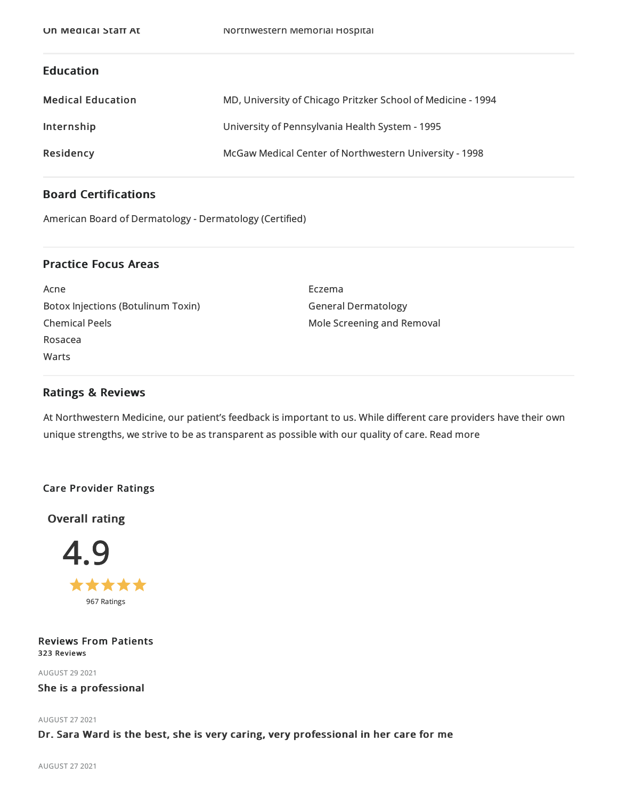# Education

| <b>Medical Education</b> | MD, University of Chicago Pritzker School of Medicine - 1994 |
|--------------------------|--------------------------------------------------------------|
| Internship               | University of Pennsylvania Health System - 1995              |
| Residency                | McGaw Medical Center of Northwestern University - 1998       |

# Board Certifications

American Board of Dermatology - Dermatology (Certified)

# Practice Focus Areas

Acne BotoxInjections (Botulinum Toxin) Chemical Peels Rosacea Warts

Eczema General Dermatology Mole Screening and Removal

### Ratings & Reviews

At Northwestern Medicine, our patient's feedback is important to us. While different care providers have their own unique strengths, we strive to be as transparent as possible with our quality of care. Read more

### Care Provider Ratings

Overall rating



Reviews From Patients 323 Reviews

AUGUST 292021

She is a professional

AUGUST 272021

### Dr. Sara Ward is the best, she is very caring, very professional in her care for me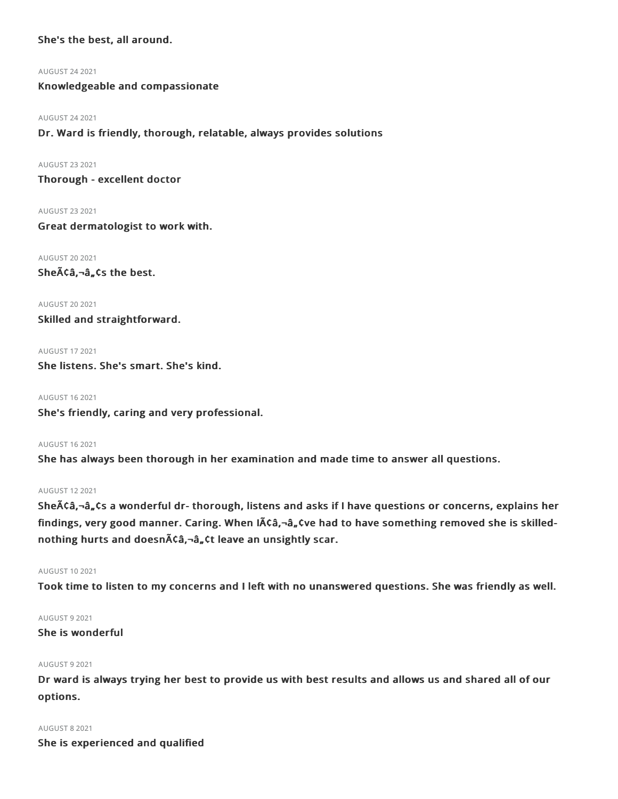## She's the best, all around.

AUGUST 242021

Knowledgeable and compassionate

#### AUGUST 242021

Dr. Ward is friendly, thorough, relatable, always provides solutions

AUGUST 232021

Thorough - excellent doctor

AUGUST 232021

Great dermatologist to work with.

AUGUST 202021

Sheââ,¬â"¢s the best.

AUGUST 202021 Skilled and straightforward.

AUGUST 172021 She listens. She's smart. She's kind.

AUGUST 162021 She's friendly, caring and very professional.

AUGUST 162021

She has always been thorough in her examination and made time to answer all questions.

### AUGUST 122021

Sheââ,¬â, ¢s a wonderful dr- thorough, listens and asks if I have questions or concerns, explains her findings, very good manner. Caring. When IACa,-a, tve had to have something removed she is skillednothing hurts and doesnââ,¬â"¢t leave an unsightly scar.

#### AUGUST 102021

Took time to listen to my concerns and I left with no unanswered questions. She was friendly as well.

### AUGUST 92021

She is wonderful

### AUGUST 92021

Dr ward is always trying her best to provide us with best results and allows us and shared all of our options.

### AUGUST 82021

She is experienced and qualified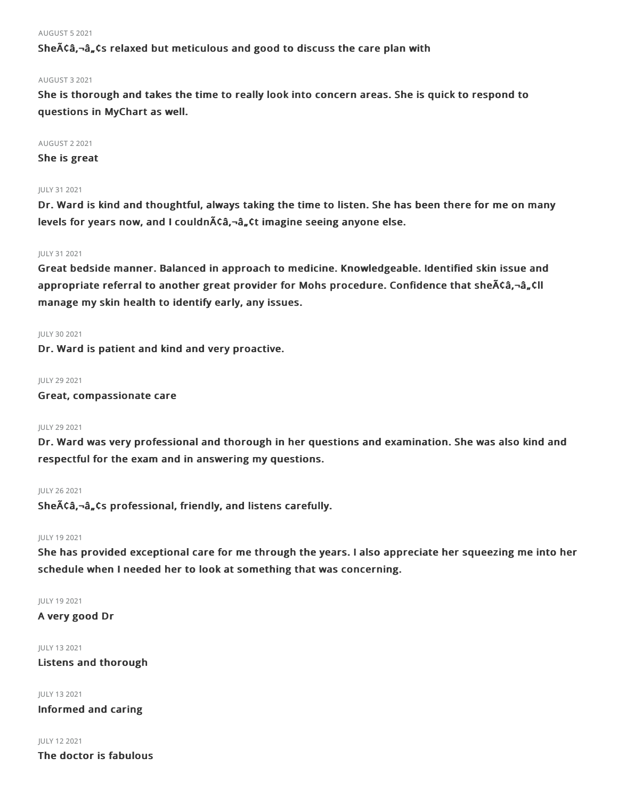#### AUGUST 52021

She $\tilde{A}$ Ca, $\tilde{a}_n$ Cs relaxed but meticulous and good to discuss the care plan with

#### AUGUST 32021

She is thorough and takes the time to really look into concern areas. She is quick to respond to questions in MyChart as well.

### AUGUST 22021

She is great

#### JULY 312021

Dr. Ward is kind and thoughtful, always taking the time to listen. She has been there for me on many levels for years now, and I couldn $\tilde{A}$ ca,-â, ¢t imagine seeing anyone else.

#### JULY 312021

Great bedside manner. Balanced in approach to medicine. Knowledgeable. Identified skin issue and appropriate referral to another great provider for Mohs procedure. Confidence that she $\bar{A}$  $\hat{c}$  $\hat{a}$ , $\hat{-a}$ , $\hat{c}$ ll manage my skin health to identify early, any issues.

#### JULY 30 2021

Dr. Ward is patient and kind and very proactive.

#### JULY 29 2021

Great, compassionate care

#### JULY 292021

Dr. Ward was very professional and thorough in her questions and examination. She was also kind and respectful for the exam and in answering my questions.

#### JULY 262021

She $\tilde{A}$ Ca, $-\hat{a}$ , Cs professional, friendly, and listens carefully.

### JULY 192021

She has provided exceptional care for me through the years. I also appreciate her squeezing me into her schedule when I needed her to look at something that was concerning.

#### JULY 192021

A very good Dr

#### JULY 132021

Listens and thorough

#### JULY 132021

Informed and caring

#### JULY 122021

The doctor is fabulous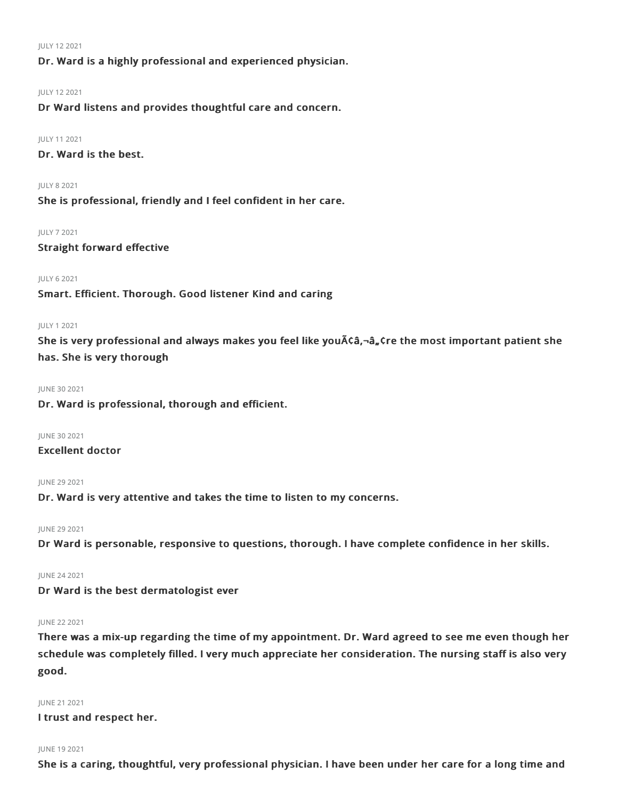JULY 122021

Dr. Ward is a highly professional and experienced physician.

#### JULY 122021

Dr Ward listens and provides thoughtful care and concern.

#### JULY 112021

Dr. Ward is the best.

#### JULY 82021

She is professional, friendly and I feel confident in her care.

#### JULY 72021

Straight forward effective

### JULY 62021

Smart. Efficient. Thorough. Good listener Kind and caring

#### JULY 12021

She is very professional and always makes you feel like you $\tilde{A}$  of  $\tilde{a}$ ,  $\tilde{a}$ ,  $\tilde{c}$  re the most important patient she has. She is very thorough

#### JUNE 30 2021

Dr. Ward is professional, thorough and efficient.

JUNE 30 2021 Excellent doctor

JUNE 29 2021

Dr. Ward is very attentive and takes the time to listen to my concerns.

JUNE 29 2021

Dr Ward is personable, responsive to questions, thorough. I have complete confidence in her skills.

### JUNE 242021

Dr Ward is the best dermatologist ever

### JUNE 22 2021

There was a mix-up regarding the time of my appointment. Dr. Ward agreed to see me even though her schedule was completely filled. I very much appreciate her consideration. The nursing staff is also very good.

### JUNE 212021

I trust and respect her.

### JUNE 192021

She is a caring, thoughtful, very professional physician. I have been under her care for a long time and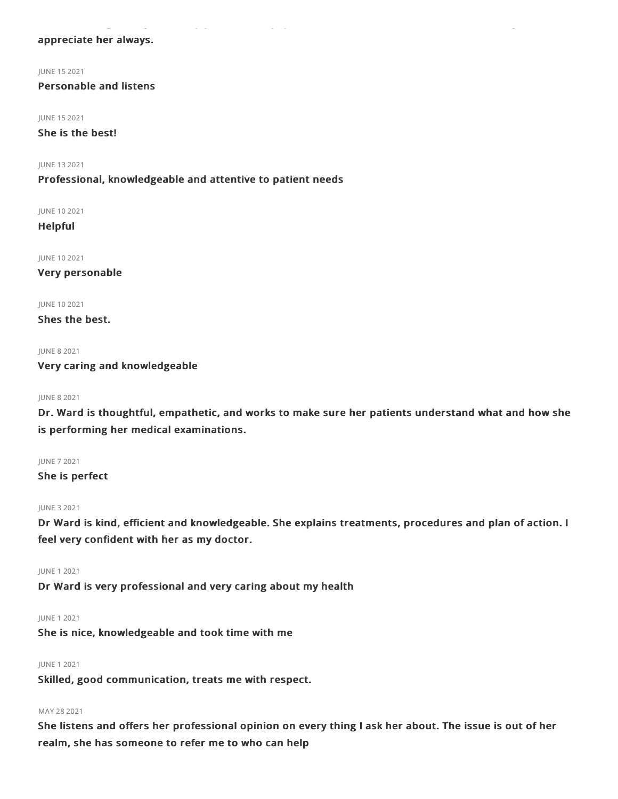### appreciate her always.

JUNE 152021

Personable and listens

JUNE 152021

She is the best!

JUNE 132021

Professional, knowledgeable and attentive to patient needs

JUNE 102021

Helpful

JUNE 102021

Very personable

JUNE 102021

Shes the best.

JUNE 8 2021 Very caring and knowledgeable

#### JUNE 82021

Dr. Ward is thoughtful, empathetic, and works to make sure her patients understand what and how she is performing her medical examinations.

JUNE 72021 She is perfect

#### JUNE 32021

Dr Ward is kind, efficient and knowledgeable. She explains treatments, procedures and plan of action. I feel very confident with her as my doctor.

JUNE 12021

Dr Ward is very professional and very caring about my health

JUNE 12021

She is nice, knowledgeable and took time with me

### JUNE 12021

Skilled, good communication, treats me with respect.

### MAY 28 2021

She listens and offers her professional opinion on every thing I ask her about. The issue is out of her realm, she has someone to refer me to who can help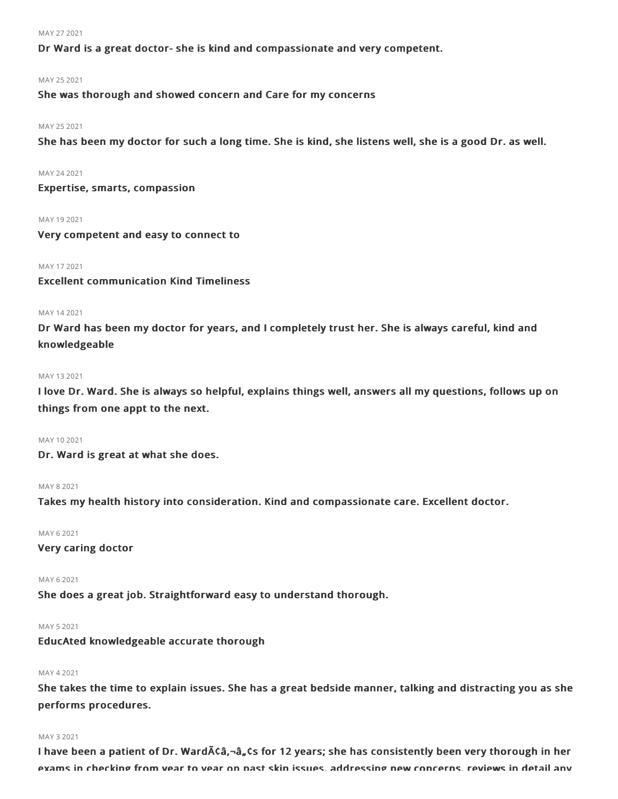#### MAY 27 2021

Dr Ward is a great doctor- she is kind and compassionate and very competent.

#### MAY 252021

She was thorough and showed concern and Care for my concerns

#### MAY 252021

She has been my doctor for such a long time. She is kind, she listens well, she is a good Dr. as well.

#### MAY 242021

Expertise, smarts, compassion

MAY 19 2021

Very competent and easy to connect to

#### MAY 172021

Excellent communication Kind Timeliness

#### MAY 142021

Dr Ward has been my doctor for years, and I completely trust her. She is always careful, kind and knowledgeable

#### MAY 132021

I love Dr. Ward. She is always so helpful, explains things well, answers all my questions, follows up on things from one appt to the next.

#### MAY 102021

Dr. Ward is great at what she does.

#### MAY 82021

Takes my health history into consideration. Kind and compassionate care. Excellent doctor.

#### MAY 62021

Very caring doctor

#### MAY 62021

She does a great job. Straightforward easy to understand thorough.

#### MAY 52021

EducAted knowledgeable accurate thorough

#### MAY 42021

She takes the time to explain issues. She has a great bedside manner, talking and distracting you as she performs procedures.

#### MAY 32021

I have been a patient of Dr. Ward $\tilde{A}$ Ca,¬ $\hat{a}$ , $\zeta$ s for 12 years; she has consistently been very thorough in her exams in checking from year to year on past skin issues, addressing new concerns, reviews in detail any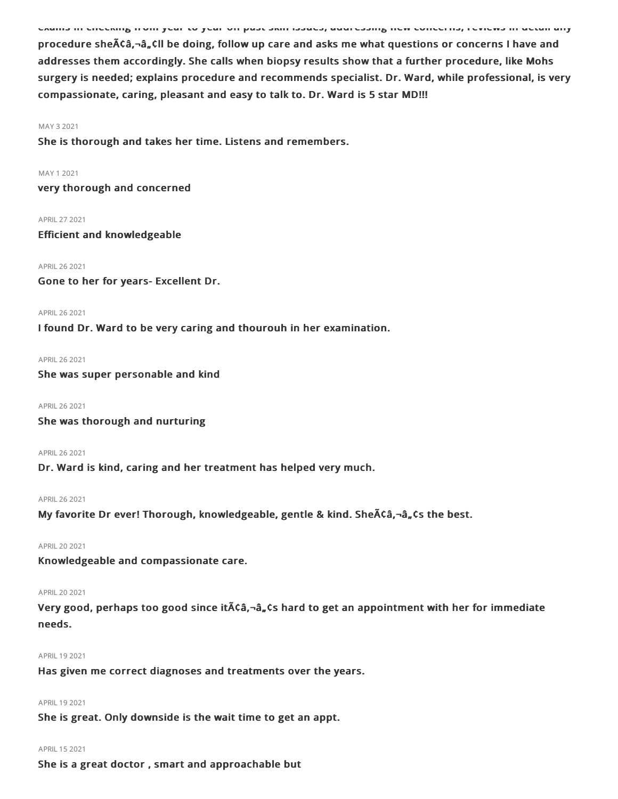procedure sheA¢â,¬â,,¢ll be doing, follow up care and asks me what questions or concerns I have and addresses them accordingly. She calls when biopsy results show that a further procedure, like Mohs surgery is needed; explains procedure and recommends specialist. Dr. Ward, while professional, is very compassionate, caring, pleasant and easy to talk to. Dr. Ward is 5 star MD!!!

exams in checking from year to year on past skin issues, addressing new concerns, reviews in detail any

#### MAY 32021

She is thorough and takes her time. Listens and remembers.

MAY 12021

very thorough and concerned

APRIL 27 2021

Efficient and knowledgeable

APRIL262021 Gone to her for years- Excellent Dr.

APRIL262021

I found Dr. Ward to be very caring and thourouh in her examination.

APRIL262021

She was super personable and kind

APRIL262021

She was thorough and nurturing

APRIL262021

Dr. Ward is kind, caring and her treatment has helped very much.

#### APRIL262021

My favorite Dr ever! Thorough, knowledgeable, gentle & kind. SheA¢â,¬â"¢s the best.

```
APRIL202021
```
Knowledgeable and compassionate care.

#### APRIL202021

Very good, perhaps too good since it $\tilde{A}$ ca,- $\hat{a}$ , cs hard to get an appointment with her for immediate needs.

#### APRIL 19 2021

Has given me correct diagnoses and treatments over the years.

### APRIL 19 2021

She is great. Only downside is the wait time to get an appt.

### APRIL152021

She is a great doctor , smart and approachable but